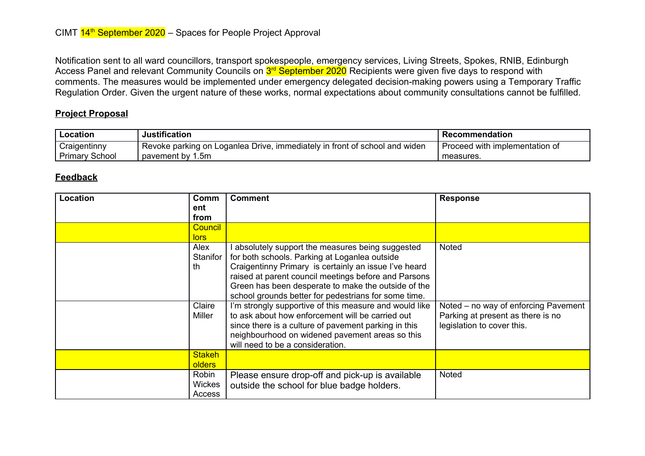Notification sent to all ward councillors, transport spokespeople, emergency services, Living Streets, Spokes, RNIB, Edinburgh Access Panel and relevant Community Councils on <mark>3<sup>rd</sup> September 2020</mark> Recipients were given five days to respond with comments. The measures would be implemented under emergency delegated decision-making powers using a Temporary Traffic Regulation Order. Given the urgent nature of these works, normal expectations about community consultations cannot be fulfilled.

## **Project Proposal**

| Location          | <b>Justification</b>                                                         | <b>Recommendation</b>          |
|-------------------|------------------------------------------------------------------------------|--------------------------------|
| Craigentinny      | ' Revoke parking on Loganlea Drive, immediately in front of school and widen | Proceed with implementation of |
| Primary<br>School | pavement by 1.5m                                                             | measures.                      |

## **Feedback**

| Location | Comm<br>ent                      | <b>Comment</b>                                                                                                                                                                                                                                                                                                                   | <b>Response</b>                                                                                         |
|----------|----------------------------------|----------------------------------------------------------------------------------------------------------------------------------------------------------------------------------------------------------------------------------------------------------------------------------------------------------------------------------|---------------------------------------------------------------------------------------------------------|
|          | from                             |                                                                                                                                                                                                                                                                                                                                  |                                                                                                         |
|          | <b>Council</b><br>lors           |                                                                                                                                                                                                                                                                                                                                  |                                                                                                         |
|          | Alex<br>Stanifor<br>th           | absolutely support the measures being suggested<br>for both schools. Parking at Loganlea outside<br>Craigentinny Primary is certainly an issue I've heard<br>raised at parent council meetings before and Parsons<br>Green has been desperate to make the outside of the<br>school grounds better for pedestrians for some time. | <b>Noted</b>                                                                                            |
|          | Claire<br>Miller                 | I'm strongly supportive of this measure and would like<br>to ask about how enforcement will be carried out<br>since there is a culture of pavement parking in this<br>neighbourhood on widened pavement areas so this<br>will need to be a consideration.                                                                        | Noted – no way of enforcing Pavement<br>Parking at present as there is no<br>legislation to cover this. |
|          | <b>Stakeh</b><br><b>olders</b>   |                                                                                                                                                                                                                                                                                                                                  |                                                                                                         |
|          | Robin<br><b>Wickes</b><br>Access | Please ensure drop-off and pick-up is available<br>outside the school for blue badge holders.                                                                                                                                                                                                                                    | <b>Noted</b>                                                                                            |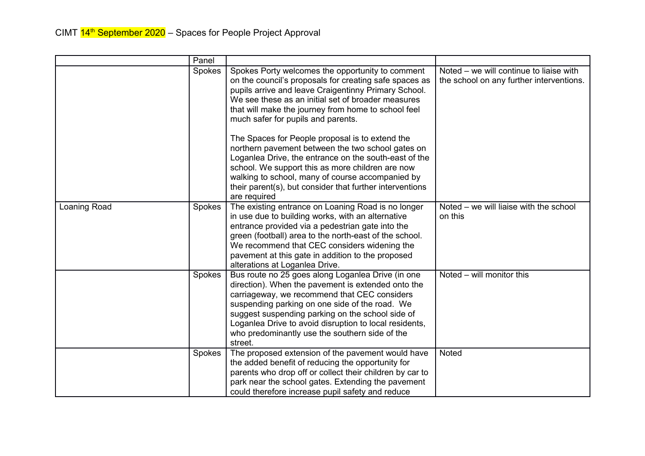|              | Panel  |                                                                                                                                                                                                                                                                                                                                                                                                                                                                                                                                                                                                                                                                            |                                                                                     |
|--------------|--------|----------------------------------------------------------------------------------------------------------------------------------------------------------------------------------------------------------------------------------------------------------------------------------------------------------------------------------------------------------------------------------------------------------------------------------------------------------------------------------------------------------------------------------------------------------------------------------------------------------------------------------------------------------------------------|-------------------------------------------------------------------------------------|
|              | Spokes | Spokes Porty welcomes the opportunity to comment<br>on the council's proposals for creating safe spaces as<br>pupils arrive and leave Craigentinny Primary School.<br>We see these as an initial set of broader measures<br>that will make the journey from home to school feel<br>much safer for pupils and parents.<br>The Spaces for People proposal is to extend the<br>northern pavement between the two school gates on<br>Loganlea Drive, the entrance on the south-east of the<br>school. We support this as more children are now<br>walking to school, many of course accompanied by<br>their parent(s), but consider that further interventions<br>are required | Noted – we will continue to liaise with<br>the school on any further interventions. |
| Loaning Road | Spokes | The existing entrance on Loaning Road is no longer<br>in use due to building works, with an alternative<br>entrance provided via a pedestrian gate into the<br>green (football) area to the north-east of the school.<br>We recommend that CEC considers widening the<br>pavement at this gate in addition to the proposed<br>alterations at Loganlea Drive.                                                                                                                                                                                                                                                                                                               | Noted – we will liaise with the school<br>on this                                   |
|              | Spokes | Bus route no 25 goes along Loganlea Drive (in one<br>direction). When the pavement is extended onto the<br>carriageway, we recommend that CEC considers<br>suspending parking on one side of the road. We<br>suggest suspending parking on the school side of<br>Loganlea Drive to avoid disruption to local residents,<br>who predominantly use the southern side of the<br>street.                                                                                                                                                                                                                                                                                       | Noted – will monitor this                                                           |
|              | Spokes | The proposed extension of the pavement would have<br>the added benefit of reducing the opportunity for<br>parents who drop off or collect their children by car to<br>park near the school gates. Extending the pavement<br>could therefore increase pupil safety and reduce                                                                                                                                                                                                                                                                                                                                                                                               | Noted                                                                               |